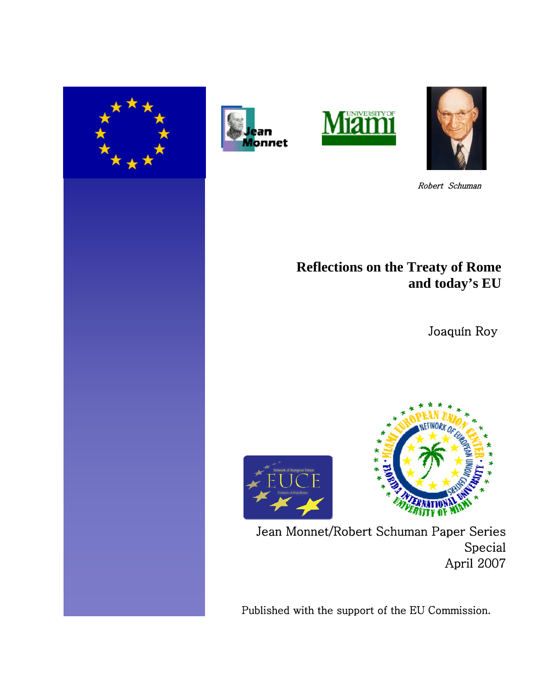







Robert Schuman

# **Reflections on the Treaty of Rome and today's EU**

Joaquín Roy





Jean Monnet/Robert Schuman Paper Series Special April 2007

Published with the support of the EU Commission.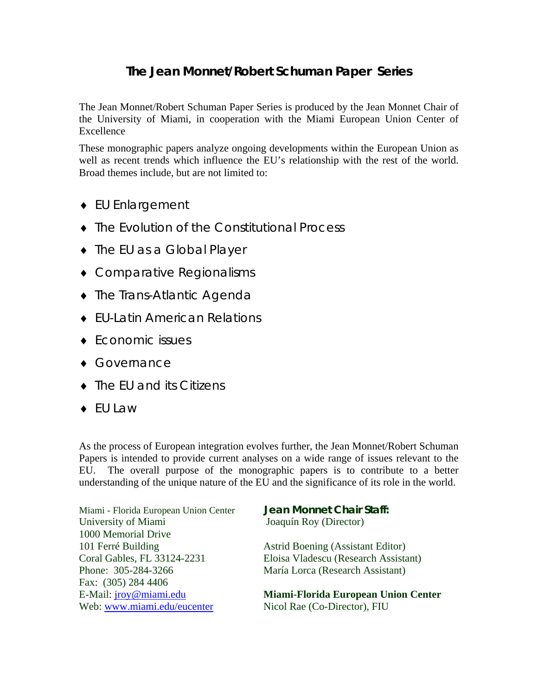## **The Jean Monnet/Robert Schuman Paper Series**

The Jean Monnet/Robert Schuman Paper Series is produced by the Jean Monnet Chair of the University of Miami, in cooperation with the Miami European Union Center of Excellence

These monographic papers analyze ongoing developments within the European Union as well as recent trends which influence the EU's relationship with the rest of the world. Broad themes include, but are not limited to:

- ♦ EU Enlargement
- ♦ The Evolution of the Constitutional Process
- ♦ The EU as a Global Player
- ♦ Comparative Regionalisms
- ♦ The Trans-Atlantic Agenda
- ♦ EU-Latin American Relations
- ♦ Economic issues
- ♦ Governance
- ♦ The EU and its Citizens
- ♦ EU Law

As the process of European integration evolves further, the Jean Monnet/Robert Schuman Papers is intended to provide current analyses on a wide range of issues relevant to the EU. The overall purpose of the monographic papers is to contribute to a better understanding of the unique nature of the EU and the significance of its role in the world.

Miami - Florida European Union Center **Jean Monnet Chair Staff:** University of Miami Joaquín Roy (Director) 1000 Memorial Drive 101 Ferré Building Astrid Boening (Assistant Editor) Phone: 305-284-3266 María Lorca (Research Assistant) Fax: (305) 284 4406 Web: [www.miami.edu/eucenter](http://www.miami.edu/eucenter) Nicol Rae (Co-Director), FIU

Coral Gables, FL 33124-2231 Eloisa Vladescu (Research Assistant)

E-Mail: [jroy@miami.edu](mailto:jroy@miami.edu) **Miami-Florida European Union Center**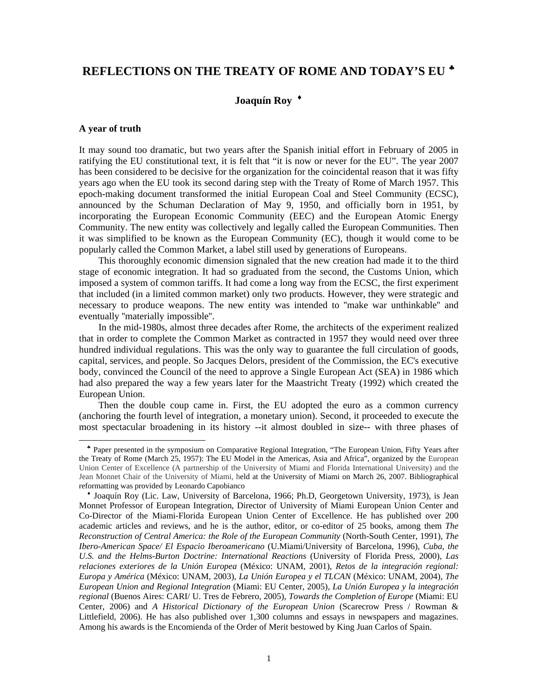## **REFLECTIONS ON THE TREATY OF ROME AND TODAY'S EU** [♣](#page-2-0)

### **Joaquín Roy** [♦](#page-2-1)

#### **A year of truth**

 $\overline{a}$ 

It may sound too dramatic, but two years after the Spanish initial effort in February of 2005 in ratifying the EU constitutional text, it is felt that "it is now or never for the EU". The year 2007 has been considered to be decisive for the organization for the coincidental reason that it was fifty years ago when the EU took its second daring step with the Treaty of Rome of March 1957. This epoch-making document transformed the initial European Coal and Steel Community (ECSC), announced by the Schuman Declaration of May 9, 1950, and officially born in 1951, by incorporating the European Economic Community (EEC) and the European Atomic Energy Community. The new entity was collectively and legally called the European Communities. Then it was simplified to be known as the European Community (EC), though it would come to be popularly called the Common Market, a label still used by generations of Europeans.

 This thoroughly economic dimension signaled that the new creation had made it to the third stage of economic integration. It had so graduated from the second, the Customs Union, which imposed a system of common tariffs. It had come a long way from the ECSC, the first experiment that included (in a limited common market) only two products. However, they were strategic and necessary to produce weapons. The new entity was intended to ''make war unthinkable'' and eventually ''materially impossible''.

 In the mid-1980s, almost three decades after Rome, the architects of the experiment realized that in order to complete the Common Market as contracted in 1957 they would need over three hundred individual regulations. This was the only way to guarantee the full circulation of goods, capital, services, and people. So Jacques Delors, president of the Commission, the EC's executive body, convinced the Council of the need to approve a Single European Act (SEA) in 1986 which had also prepared the way a few years later for the Maastricht Treaty (1992) which created the European Union.

 Then the double coup came in. First, the EU adopted the euro as a common currency (anchoring the fourth level of integration, a monetary union). Second, it proceeded to execute the most spectacular broadening in its history --it almost doubled in size-- with three phases of

<span id="page-2-0"></span>♣ Paper presented in the symposium on Comparative Regional Integration, "The European Union, Fifty Years after the Treaty of Rome (March 25, 1957): The EU Model in the Americas, Asia and Africa", organized by the European Union Center of Excellence (A partnership of the University of Miami and Florida International University) and the Jean Monnet Chair of the University of Miami, held at the University of Miami on March 26, 2007. Bibliographical reformatting was provided by Leonardo Capobianco

<span id="page-2-1"></span>♦ Joaquín Roy (Lic. Law, University of Barcelona, 1966; Ph.D, Georgetown University, 1973), is Jean Monnet Professor of European Integration, Director of University of Miami European Union Center and Co-Director of the Miami-Florida European Union Center of Excellence. He has published over 200 academic articles and reviews, and he is the author, editor, or co-editor of 25 books, among them *The Reconstruction of Central America: the Role of the European Community* (North-South Center, 1991), *The Ibero-American Space/ El Espacio Iberoamericano* (U.Miami/University of Barcelona, 1996), *Cuba, the U.S. and the Helms-Burton Doctrine: International Reactions* (University of Florida Press, 2000), *Las relaciones exteriores de la Unión Europea* (México: UNAM, 2001), *Retos de la integración regional: Europa y América* (México: UNAM, 2003), *La Unión Europea y el TLCAN* (México: UNAM, 2004), *The European Union and Regional Integration* (Miami: EU Center, 2005), *La Unión Europea y la integración regional* (Buenos Aires: CARI/ U. Tres de Febrero, 2005), *Towards the Completion of Europe* (Miami: EU Center, 2006) and *A Historical Dictionary of the European Union* (Scarecrow Press / Rowman & Littlefield, 2006). He has also published over 1,300 columns and essays in newspapers and magazines. Among his awards is the Encomienda of the Order of Merit bestowed by King Juan Carlos of Spain.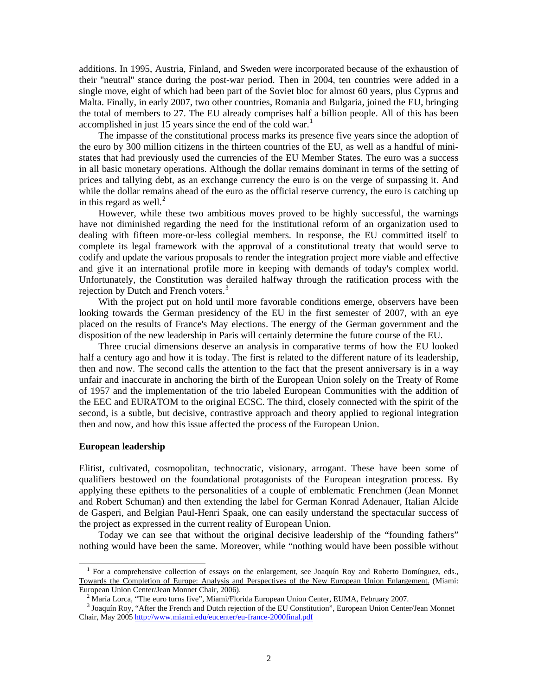additions. In 1995, Austria, Finland, and Sweden were incorporated because of the exhaustion of their ''neutral'' stance during the post-war period. Then in 2004, ten countries were added in a single move, eight of which had been part of the Soviet bloc for almost 60 years, plus Cyprus and Malta. Finally, in early 2007, two other countries, Romania and Bulgaria, joined the EU, bringing the total of members to 27. The EU already comprises half a billion people. All of this has been accomplished in just [1](#page-3-0)5 years since the end of the cold war.<sup>1</sup>

 The impasse of the constitutional process marks its presence five years since the adoption of the euro by 300 million citizens in the thirteen countries of the EU, as well as a handful of ministates that had previously used the currencies of the EU Member States. The euro was a success in all basic monetary operations. Although the dollar remains dominant in terms of the setting of prices and tallying debt, as an exchange currency the euro is on the verge of surpassing it. And while the dollar remains ahead of the euro as the official reserve currency, the euro is catching up in this regard as well. $^{2}$  $^{2}$  $^{2}$ 

 However, while these two ambitious moves proved to be highly successful, the warnings have not diminished regarding the need for the institutional reform of an organization used to dealing with fifteen more-or-less collegial members. In response, the EU committed itself to complete its legal framework with the approval of a constitutional treaty that would serve to codify and update the various proposals to render the integration project more viable and effective and give it an international profile more in keeping with demands of today's complex world. Unfortunately, the Constitution was derailed halfway through the ratification process with the rejection by Dutch and French voters.<sup>[3](#page-3-2)</sup>

 With the project put on hold until more favorable conditions emerge, observers have been looking towards the German presidency of the EU in the first semester of 2007, with an eye placed on the results of France's May elections. The energy of the German government and the disposition of the new leadership in Paris will certainly determine the future course of the EU.

 Three crucial dimensions deserve an analysis in comparative terms of how the EU looked half a century ago and how it is today. The first is related to the different nature of its leadership, then and now. The second calls the attention to the fact that the present anniversary is in a way unfair and inaccurate in anchoring the birth of the European Union solely on the Treaty of Rome of 1957 and the implementation of the trio labeled European Communities with the addition of the EEC and EURATOM to the original ECSC. The third, closely connected with the spirit of the second, is a subtle, but decisive, contrastive approach and theory applied to regional integration then and now, and how this issue affected the process of the European Union.

#### **European leadership**

 $\overline{a}$ 

Elitist, cultivated, cosmopolitan, technocratic, visionary, arrogant. These have been some of qualifiers bestowed on the foundational protagonists of the European integration process. By applying these epithets to the personalities of a couple of emblematic Frenchmen (Jean Monnet and Robert Schuman) and then extending the label for German Konrad Adenauer, Italian Alcide de Gasperi, and Belgian Paul-Henri Spaak, one can easily understand the spectacular success of the project as expressed in the current reality of European Union.

 Today we can see that without the original decisive leadership of the "founding fathers" nothing would have been the same. Moreover, while "nothing would have been possible without

<span id="page-3-0"></span><sup>&</sup>lt;sup>1</sup> For a comprehensive collection of essays on the enlargement, see Joaquín Roy and Roberto Domínguez, eds., Towards the Completion of Europe: Analysis and Perspectives of the New European Union Enlargement. (Miami: European Union Center/Jean Monnet Chair, 2006).

<sup>&</sup>lt;sup>2</sup> María Lorca, "The euro turns five", Miami/Florida European Union Center, EUMA, February 2007.

<span id="page-3-2"></span><span id="page-3-1"></span><sup>&</sup>lt;sup>3</sup> Joaquín Roy, "After the French and Dutch rejection of the EU Constitution", European Union Center/Jean Monnet Chair, May 2005<http://www.miami.edu/eucenter/eu-france-2000final.pdf>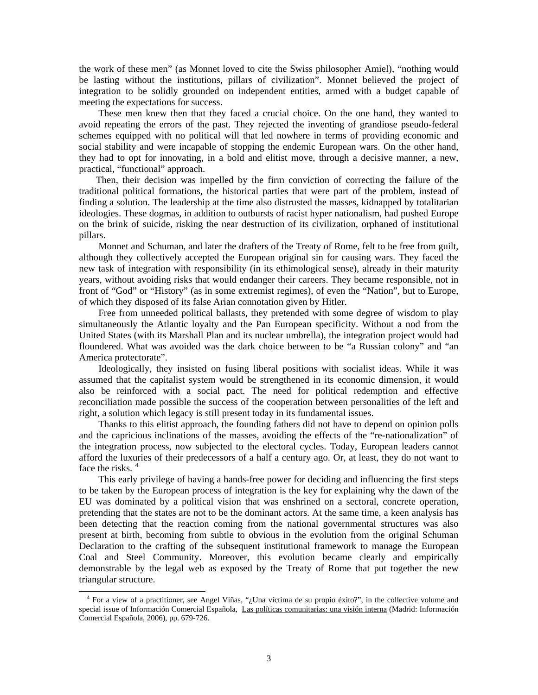the work of these men" (as Monnet loved to cite the Swiss philosopher Amiel), "nothing would be lasting without the institutions, pillars of civilization". Monnet believed the project of integration to be solidly grounded on independent entities, armed with a budget capable of meeting the expectations for success.

 These men knew then that they faced a crucial choice. On the one hand, they wanted to avoid repeating the errors of the past. They rejected the inventing of grandiose pseudo-federal schemes equipped with no political will that led nowhere in terms of providing economic and social stability and were incapable of stopping the endemic European wars. On the other hand, they had to opt for innovating, in a bold and elitist move, through a decisive manner, a new, practical, "functional" approach.

 Then, their decision was impelled by the firm conviction of correcting the failure of the traditional political formations, the historical parties that were part of the problem, instead of finding a solution. The leadership at the time also distrusted the masses, kidnapped by totalitarian ideologies. These dogmas, in addition to outbursts of racist hyper nationalism, had pushed Europe on the brink of suicide, risking the near destruction of its civilization, orphaned of institutional pillars.

 Monnet and Schuman, and later the drafters of the Treaty of Rome, felt to be free from guilt, although they collectively accepted the European original sin for causing wars. They faced the new task of integration with responsibility (in its ethimological sense), already in their maturity years, without avoiding risks that would endanger their careers. They became responsible, not in front of "God" or "History" (as in some extremist regimes), of even the "Nation", but to Europe, of which they disposed of its false Arian connotation given by Hitler.

 Free from unneeded political ballasts, they pretended with some degree of wisdom to play simultaneously the Atlantic loyalty and the Pan European specificity. Without a nod from the United States (with its Marshall Plan and its nuclear umbrella), the integration project would had floundered. What was avoided was the dark choice between to be "a Russian colony" and "an America protectorate".

 Ideologically, they insisted on fusing liberal positions with socialist ideas. While it was assumed that the capitalist system would be strengthened in its economic dimension, it would also be reinforced with a social pact. The need for political redemption and effective reconciliation made possible the success of the cooperation between personalities of the left and right, a solution which legacy is still present today in its fundamental issues.

 Thanks to this elitist approach, the founding fathers did not have to depend on opinion polls and the capricious inclinations of the masses, avoiding the effects of the "re-nationalization" of the integration process, now subjected to the electoral cycles. Today, European leaders cannot afford the luxuries of their predecessors of a half a century ago. Or, at least, they do not want to face the risks.<sup>[4](#page-4-0)</sup>

 This early privilege of having a hands-free power for deciding and influencing the first steps to be taken by the European process of integration is the key for explaining why the dawn of the EU was dominated by a political vision that was enshrined on a sectoral, concrete operation, pretending that the states are not to be the dominant actors. At the same time, a keen analysis has been detecting that the reaction coming from the national governmental structures was also present at birth, becoming from subtle to obvious in the evolution from the original Schuman Declaration to the crafting of the subsequent institutional framework to manage the European Coal and Steel Community. Moreover, this evolution became clearly and empirically demonstrable by the legal web as exposed by the Treaty of Rome that put together the new triangular structure.

 $\overline{\phantom{a}}$ 

<span id="page-4-0"></span><sup>&</sup>lt;sup>4</sup> For a view of a practitioner, see Angel Viñas, "¿Una víctima de su propio éxito?", in the collective volume and special issue of Información Comercial Española, Las políticas comunitarias: una visión interna (Madrid: Información Comercial Española, 2006), pp. 679-726.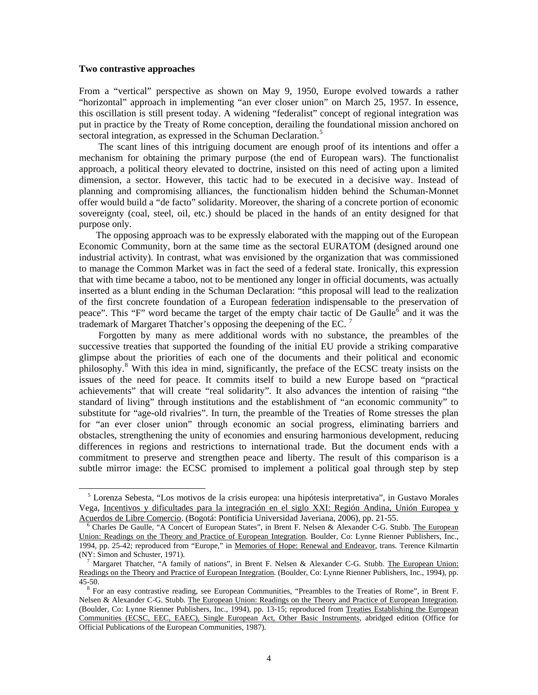#### **Two contrastive approaches**

 $\overline{a}$ 

From a "vertical" perspective as shown on May 9, 1950, Europe evolved towards a rather "horizontal" approach in implementing "an ever closer union" on March 25, 1957. In essence, this oscillation is still present today. A widening "federalist" concept of regional integration was put in practice by the Treaty of Rome conception, derailing the foundational mission anchored on sectoral integration, as expressed in the Schuman Declaration.<sup>[5](#page-5-0)</sup>

 The scant lines of this intriguing document are enough proof of its intentions and offer a mechanism for obtaining the primary purpose (the end of European wars). The functionalist approach, a political theory elevated to doctrine, insisted on this need of acting upon a limited dimension, a sector. However, this tactic had to be executed in a decisive way. Instead of planning and compromising alliances, the functionalism hidden behind the Schuman-Monnet offer would build a "de facto" solidarity. Moreover, the sharing of a concrete portion of economic sovereignty (coal, steel, oil, etc.) should be placed in the hands of an entity designed for that purpose only.

 The opposing approach was to be expressly elaborated with the mapping out of the European Economic Community, born at the same time as the sectoral EURATOM (designed around one industrial activity). In contrast, what was envisioned by the organization that was commissioned to manage the Common Market was in fact the seed of a federal state. Ironically, this expression that with time became a taboo, not to be mentioned any longer in official documents, was actually inserted as a blunt ending in the Schuman Declaration: "this proposal will lead to the realization of the first concrete foundation of a European federation indispensable to the preservation of peace". This "F" word became the target of the empty chair tactic of De Gaulle<sup>[6](#page-5-1)</sup> and it was the trademark of Margaret Thatcher's opposing the deepening of the EC. [7](#page-5-2)

 Forgotten by many as mere additional words with no substance, the preambles of the successive treaties that supported the founding of the initial EU provide a striking comparative glimpse about the priorities of each one of the documents and their political and economic philosophy.<sup>[8](#page-5-3)</sup> With this idea in mind, significantly, the preface of the ECSC treaty insists on the issues of the need for peace. It commits itself to build a new Europe based on "practical achievements" that will create "real solidarity". It also advances the intention of raising "the standard of living" through institutions and the establishment of "an economic community" to substitute for "age-old rivalries". In turn, the preamble of the Treaties of Rome stresses the plan for "an ever closer union" through economic an social progress, eliminating barriers and obstacles, strengthening the unity of economies and ensuring harmonious development, reducing differences in regions and restrictions to international trade. But the document ends with a commitment to preserve and strengthen peace and liberty. The result of this comparison is a subtle mirror image: the ECSC promised to implement a political goal through step by step

<span id="page-5-0"></span> <sup>5</sup> Lorenza Sebesta, "Los motivos de la crisis europea: una hipótesis interpretativa", in Gustavo Morales Vega, Incentivos y dificultades para la integración en el siglo XXI: Región Andina, Unión Europea y Acuerdos de Libre Comercio. (Bogotá: Pontificia Universidad Javeriana, 2006), pp. 21-55.

<span id="page-5-1"></span><sup>&</sup>lt;sup>6</sup> Charles De Gaulle, "A Concert of European States", in Brent F. Nelsen & Alexander C-G. Stubb. The European Union: Readings on the Theory and Practice of European Integration. Boulder, Co: Lynne Rienner Publishers, Inc., 1994, pp. 25-42; reproduced from "Europe," in Memories of Hope: Renewal and Endeavor, trans. Terence Kilmartin (NY: Simon and Schuster, 1971).

<span id="page-5-2"></span><sup>7</sup> Margaret Thatcher, "A family of nations", in Brent F. Nelsen & Alexander C-G. Stubb. The European Union: Readings on the Theory and Practice of European Integration. (Boulder, Co: Lynne Rienner Publishers, Inc., 1994), pp. 45-50.

<span id="page-5-3"></span><sup>&</sup>lt;sup>8</sup> For an easy contrastive reading, see European Communities, "Preambles to the Treaties of Rome", in Brent F. Nelsen & Alexander C-G. Stubb. The European Union: Readings on the Theory and Practice of European Integration. (Boulder, Co: Lynne Rienner Publishers, Inc., 1994), pp. 13-15; reproduced from Treaties Establishing the European Communities (ECSC, EEC, EAEC), Single European Act, Other Basic Instruments, abridged edition (Office for Official Publications of the European Communities, 1987).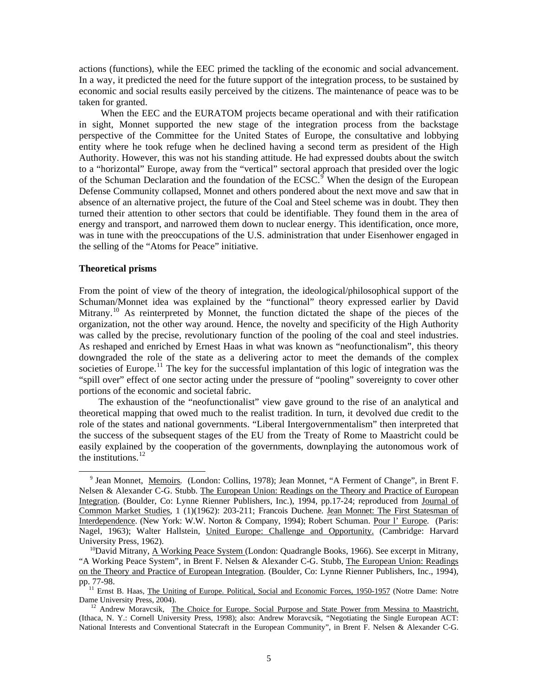actions (functions), while the EEC primed the tackling of the economic and social advancement. In a way, it predicted the need for the future support of the integration process, to be sustained by economic and social results easily perceived by the citizens. The maintenance of peace was to be taken for granted.

 When the EEC and the EURATOM projects became operational and with their ratification in sight, Monnet supported the new stage of the integration process from the backstage perspective of the Committee for the United States of Europe, the consultative and lobbying entity where he took refuge when he declined having a second term as president of the High Authority. However, this was not his standing attitude. He had expressed doubts about the switch to a "horizontal" Europe, away from the "vertical" sectoral approach that presided over the logic of the Schuman Declaration and the foundation of the  $ECSC^{\hat{9}}$  $ECSC^{\hat{9}}$  $ECSC^{\hat{9}}$  When the design of the European Defense Community collapsed, Monnet and others pondered about the next move and saw that in absence of an alternative project, the future of the Coal and Steel scheme was in doubt. They then turned their attention to other sectors that could be identifiable. They found them in the area of energy and transport, and narrowed them down to nuclear energy. This identification, once more, was in tune with the preoccupations of the U.S. administration that under Eisenhower engaged in the selling of the "Atoms for Peace" initiative.

#### **Theoretical prisms**

 $\overline{a}$ 

From the point of view of the theory of integration, the ideological/philosophical support of the Schuman/Monnet idea was explained by the "functional" theory expressed earlier by David Mitrany.<sup>[10](#page-6-1)</sup> As reinterpreted by Monnet, the function dictated the shape of the pieces of the organization, not the other way around. Hence, the novelty and specificity of the High Authority was called by the precise, revolutionary function of the pooling of the coal and steel industries. As reshaped and enriched by Ernest Haas in what was known as "neofunctionalism", this theory downgraded the role of the state as a delivering actor to meet the demands of the complex societies of Europe.<sup>[11](#page-6-2)</sup> The key for the successful implantation of this logic of integration was the "spill over" effect of one sector acting under the pressure of "pooling" sovereignty to cover other portions of the economic and societal fabric.

 The exhaustion of the "neofunctionalist" view gave ground to the rise of an analytical and theoretical mapping that owed much to the realist tradition. In turn, it devolved due credit to the role of the states and national governments. "Liberal Intergovernmentalism" then interpreted that the success of the subsequent stages of the EU from the Treaty of Rome to Maastricht could be easily explained by the cooperation of the governments, downplaying the autonomous work of the institutions. $^{12}$  $^{12}$  $^{12}$ 

<span id="page-6-0"></span><sup>&</sup>lt;sup>9</sup> Jean Monnet, <u>Memoirs</u>. (London: Collins, 1978); Jean Monnet, "A Ferment of Change", in Brent F. Nelsen & Alexander C-G. Stubb. The European Union: Readings on the Theory and Practice of European Integration. (Boulder, Co: Lynne Rienner Publishers, Inc.), 1994, pp.17-24; reproduced from Journal of Common Market Studies, 1 (1)(1962): 203-211; Francois Duchene. Jean Monnet: The First Statesman of Interdependence. (New York: W.W. Norton & Company, 1994); Robert Schuman. Pour l' Europe*.* (Paris: Nagel, 1963); Walter Hallstein, United Europe: Challenge and Opportunity. (Cambridge: Harvard University Press, 1962).

<span id="page-6-1"></span> $10$ David Mitrany, A Working Peace System (London: Quadrangle Books, 1966). See excerpt in Mitrany, "A Working Peace System", in Brent F. Nelsen & Alexander C-G. Stubb, The European Union: Readings on the Theory and Practice of European Integration. (Boulder, Co: Lynne Rienner Publishers, Inc., 1994), pp. 77-98.

<span id="page-6-2"></span><sup>&</sup>lt;sup>11</sup> Ernst B. Haas, The Uniting of Europe. Political, Social and Economic Forces, 1950-1957 (Notre Dame: Notre Dame University Press, 2004).

<span id="page-6-3"></span><sup>&</sup>lt;sup>12</sup> Andrew Moravcsik, The Choice for Europe. Social Purpose and State Power from Messina to Maastricht. (Ithaca, N. Y.: Cornell University Press, 1998); also: Andrew Moravcsik, "Negotiating the Single European ACT: National Interests and Conventional Statecraft in the European Community", in Brent F. Nelsen & Alexander C-G.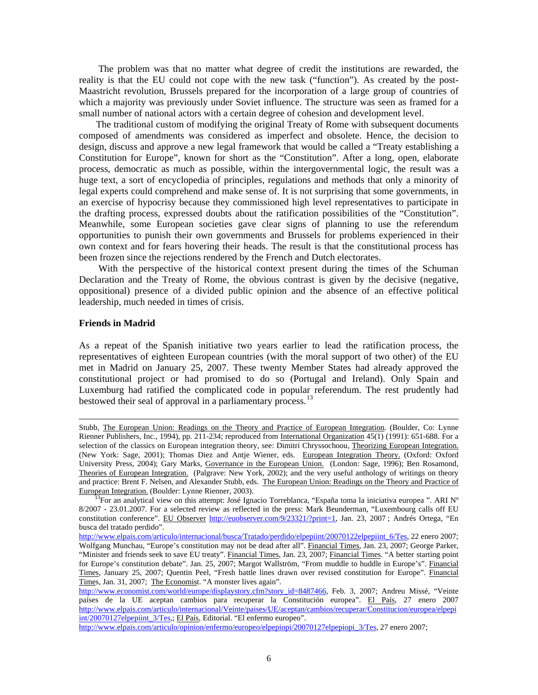The problem was that no matter what degree of credit the institutions are rewarded, the reality is that the EU could not cope with the new task ("function"). As created by the post-Maastricht revolution, Brussels prepared for the incorporation of a large group of countries of which a majority was previously under Soviet influence. The structure was seen as framed for a small number of national actors with a certain degree of cohesion and development level.

 The traditional custom of modifying the original Treaty of Rome with subsequent documents composed of amendments was considered as imperfect and obsolete. Hence, the decision to design, discuss and approve a new legal framework that would be called a "Treaty establishing a Constitution for Europe", known for short as the "Constitution". After a long, open, elaborate process, democratic as much as possible, within the intergovernmental logic, the result was a huge text, a sort of encyclopedia of principles, regulations and methods that only a minority of legal experts could comprehend and make sense of. It is not surprising that some governments, in an exercise of hypocrisy because they commissioned high level representatives to participate in the drafting process, expressed doubts about the ratification possibilities of the "Constitution". Meanwhile, some European societies gave clear signs of planning to use the referendum opportunities to punish their own governments and Brussels for problems experienced in their own context and for fears hovering their heads. The result is that the constitutional process has been frozen since the rejections rendered by the French and Dutch electorates.

 With the perspective of the historical context present during the times of the Schuman Declaration and the Treaty of Rome, the obvious contrast is given by the decisive (negative, oppositional) presence of a divided public opinion and the absence of an effective political leadership, much needed in times of crisis.

#### **Friends in Madrid**

 $\overline{\phantom{a}}$ 

As a repeat of the Spanish initiative two years earlier to lead the ratification process, the representatives of eighteen European countries (with the moral support of two other) of the EU met in Madrid on January 25, 2007. These twenty Member States had already approved the constitutional project or had promised to do so (Portugal and Ireland). Only Spain and Luxemburg had ratified the complicated code in popular referendum. The rest prudently had bestowed their seal of approval in a parliamentary process.<sup>[13](#page-7-0)</sup>

[http://www.elpais.com/articulo/opinion/enfermo/europeo/elpepiopi/20070127elpepiopi\\_3/Tes](http://www.elpais.com/articulo/opinion/enfermo/europeo/elpepiopi/20070127elpepiopi_3/Tes), 27 enero 2007;

Stubb, The European Union: Readings on the Theory and Practice of European Integration. (Boulder, Co: Lynne Rienner Publishers, Inc., 1994), pp. 211-234; reproduced from International Organization 45(1) (1991): 651-688. For a selection of the classics on European integration theory, see: Dimitri Chryssochoou, Theorizing European Integration. (New York: Sage, 2001); Thomas Diez and Antje Wiener, eds. European Integration Theory. (Oxford: Oxford University Press, 2004); Gary Marks, Governance in the European Union. (London: Sage, 1996); Ben Rosamond, Theories of European Integration. (Palgrave: New York, 2002); and the very useful anthology of writings on theory and practice: Brent F. Nelsen, and Alexander Stubb, eds. The European Union: Readings on the Theory and Practice of European Integration. (Boulder: Lynne Rienner, 2003).

<span id="page-7-0"></span><sup>&</sup>lt;sup>13</sup>For an analytical view on this attempt: José Ignacio Torreblanca, "España toma la iniciativa europea ". ARI N° 8/2007 - 23.01.2007. For a selected review as reflected in the press: Mark Beunderman, "Luxembourg calls off EU constitution conference". EU Observer <http://euobserver.com/9/23321/?print=1>, Jan. 23, 2007; Andrés Ortega, "En busca del tratado perdido".

[http://www.elpais.com/articulo/internacional/busca/Tratado/perdido/elpepiint/20070122elpepiint\\_6/Tes](http://www.elpais.com/articulo/internacional/busca/Tratado/perdido/elpepiint/20070122elpepiint_6/Tes), 22 enero 2007; Wolfgang Munchau, "Europe's constitution may not be dead after all". Financial Times, Jan. 23, 2007; George Parker, "Minister and friends seek to save EU treaty". Financial Times, Jan. 23, 2007; Financial Times. "A better starting point for Europe's constitution debate". Jan. 25, 2007; Margot Wallström, "From muddle to huddle in Europe's". Financial Times, January 25, 2007; Quentin Peel, "Fresh battle lines drawn over revised constitution for Europe". Financial Times, Jan. 31, 2007; The Economist. "A monster lives again".

[http://www.economist.com/world/europe/displaystory.cfm?story\\_id=8487466](http://www.economist.com/world/europe/displaystory.cfm?story_id=8487466), Feb. 3, 2007; Andreu Missé, "Veinte países de la UE aceptan cambios para recuperar la Constitución europea". El País, 27 enero 2007 [http://www.elpais.com/articulo/internacional/Veinte/paises/UE/aceptan/cambios/recuperar/Constitucion/europea/elpepi](http://www.elpais.com/articulo/internacional/Veinte/paises/UE/aceptan/cambios/recuperar/Constitucion/europea/elpepiint/20070127elpepiint_3/Tes) [int/20070127elpepiint\\_3/Tes,](http://www.elpais.com/articulo/internacional/Veinte/paises/UE/aceptan/cambios/recuperar/Constitucion/europea/elpepiint/20070127elpepiint_3/Tes); El País, Editorial. "El enfermo europeo".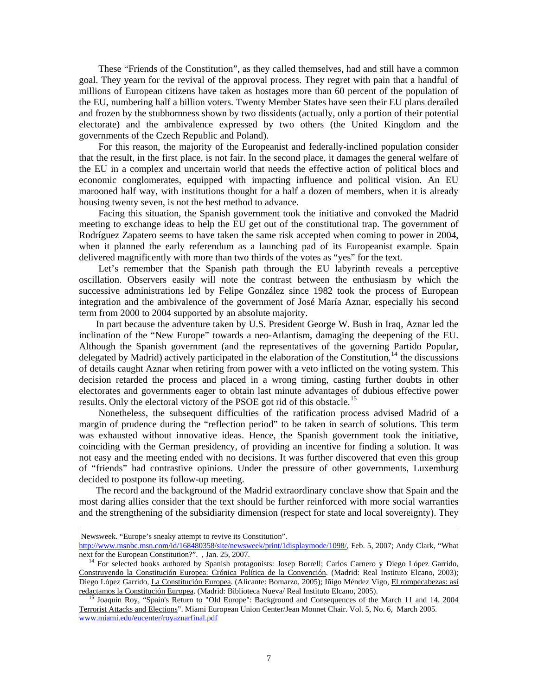These "Friends of the Constitution", as they called themselves, had and still have a common goal. They yearn for the revival of the approval process. They regret with pain that a handful of millions of European citizens have taken as hostages more than 60 percent of the population of the EU, numbering half a billion voters. Twenty Member States have seen their EU plans derailed and frozen by the stubbornness shown by two dissidents (actually, only a portion of their potential electorate) and the ambivalence expressed by two others (the United Kingdom and the governments of the Czech Republic and Poland).

 For this reason, the majority of the Europeanist and federally-inclined population consider that the result, in the first place, is not fair. In the second place, it damages the general welfare of the EU in a complex and uncertain world that needs the effective action of political blocs and economic conglomerates, equipped with impacting influence and political vision. An EU marooned half way, with institutions thought for a half a dozen of members, when it is already housing twenty seven, is not the best method to advance.

 Facing this situation, the Spanish government took the initiative and convoked the Madrid meeting to exchange ideas to help the EU get out of the constitutional trap. The government of Rodríguez Zapatero seems to have taken the same risk accepted when coming to power in 2004, when it planned the early referendum as a launching pad of its Europeanist example. Spain delivered magnificently with more than two thirds of the votes as "yes" for the text.

 Let's remember that the Spanish path through the EU labyrinth reveals a perceptive oscillation. Observers easily will note the contrast between the enthusiasm by which the successive administrations led by Felipe González since 1982 took the process of European integration and the ambivalence of the government of José María Aznar, especially his second term from 2000 to 2004 supported by an absolute majority.

 In part because the adventure taken by U.S. President George W. Bush in Iraq, Aznar led the inclination of the "New Europe" towards a neo-Atlantism, damaging the deepening of the EU. Although the Spanish government (and the representatives of the governing Partido Popular, delegated by Madrid) actively participated in the elaboration of the Constitution,<sup>[14](#page-8-0)</sup> the discussions of details caught Aznar when retiring from power with a veto inflicted on the voting system. This decision retarded the process and placed in a wrong timing, casting further doubts in other electorates and governments eager to obtain last minute advantages of dubious effective power results. Only the electoral victory of the PSOE got rid of this obstacle.<sup>[15](#page-8-1)</sup>

 Nonetheless, the subsequent difficulties of the ratification process advised Madrid of a margin of prudence during the "reflection period" to be taken in search of solutions. This term was exhausted without innovative ideas. Hence, the Spanish government took the initiative, coinciding with the German presidency, of providing an incentive for finding a solution. It was not easy and the meeting ended with no decisions. It was further discovered that even this group of "friends" had contrastive opinions. Under the pressure of other governments, Luxemburg decided to postpone its follow-up meeting.

 The record and the background of the Madrid extraordinary conclave show that Spain and the most daring allies consider that the text should be further reinforced with more social warranties and the strengthening of the subsidiarity dimension (respect for state and local sovereignty). They

Newsweek. "Europe's sneaky attempt to revive its Constitution".

 $\overline{\phantom{a}}$ 

[http://www.msnbc.msn.com/id/168480358/site/newsweek/print/1displaymode/1098/,](http://www.msnbc.msn.com/id/168480358/site/newsweek/print/1displaymode/1098/) Feb. 5, 2007; Andy Clark, "What next for the European Constitution?". , Jan. 25, 2007.

<span id="page-8-0"></span><sup>&</sup>lt;sup>14</sup> For selected books authored by Spanish protagonists: Josep Borrell; Carlos Carnero y Diego López Garrido, Construyendo la Constitución Europea: Crónica Política de la Convención. (Madrid: Real Instituto Elcano, 2003); Diego López Garrido, La Constitución Europea. (Alicante: Bomarzo, 2005); Iñigo Méndez Vigo, El rompecabezas: así redactamos la Constitución Europea. (Madrid: Biblioteca Nueva/ Real Instituto Elcano, 2005).

<span id="page-8-1"></span>15 Joaquín Roy, "Spain's Return to "Old Europe": Background and Consequences of the March 11 and 14, 2004 Terrorist Attacks and Elections". Miami European Union Center/Jean Monnet Chair. Vol. 5, No. 6, March 2005. [www.miami.edu/eucenter/royaznarfinal.pdf](http://www.miami.edu/eucenter/royaznarfinal.pdf)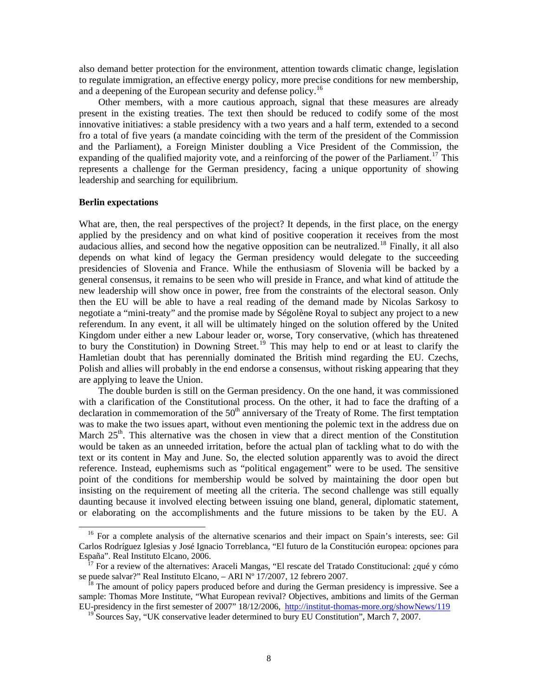also demand better protection for the environment, attention towards climatic change, legislation to regulate immigration, an effective energy policy, more precise conditions for new membership, and a deepening of the European security and defense policy.<sup>[16](#page-9-0)</sup>

 Other members, with a more cautious approach, signal that these measures are already present in the existing treaties. The text then should be reduced to codify some of the most innovative initiatives: a stable presidency with a two years and a half term, extended to a second fro a total of five years (a mandate coinciding with the term of the president of the Commission and the Parliament), a Foreign Minister doubling a Vice President of the Commission, the expanding of the qualified majority vote, and a reinforcing of the power of the Parliament.<sup>[17](#page-9-1)</sup> This represents a challenge for the German presidency, facing a unique opportunity of showing leadership and searching for equilibrium.

#### **Berlin expectations**

 $\overline{\phantom{a}}$ 

What are, then, the real perspectives of the project? It depends, in the first place, on the energy applied by the presidency and on what kind of positive cooperation it receives from the most audacious allies, and second how the negative opposition can be neutralized.<sup>[18](#page-9-2)</sup> Finally, it all also depends on what kind of legacy the German presidency would delegate to the succeeding presidencies of Slovenia and France. While the enthusiasm of Slovenia will be backed by a general consensus, it remains to be seen who will preside in France, and what kind of attitude the new leadership will show once in power, free from the constraints of the electoral season. Only then the EU will be able to have a real reading of the demand made by Nicolas Sarkosy to negotiate a "mini-treaty" and the promise made by Ségolène Royal to subject any project to a new referendum. In any event, it all will be ultimately hinged on the solution offered by the United Kingdom under either a new Labour leader or, worse, Tory conservative, (which has threatened to bury the Constitution) in Downing Street.<sup>[19](#page-9-3)</sup> This may help to end or at least to clarify the Hamletian doubt that has perennially dominated the British mind regarding the EU. Czechs, Polish and allies will probably in the end endorse a consensus, without risking appearing that they are applying to leave the Union.

 The double burden is still on the German presidency. On the one hand, it was commissioned with a clarification of the Constitutional process. On the other, it had to face the drafting of a declaration in commemoration of the  $50<sup>th</sup>$  anniversary of the Treaty of Rome. The first temptation was to make the two issues apart, without even mentioning the polemic text in the address due on March  $25<sup>th</sup>$ . This alternative was the chosen in view that a direct mention of the Constitution would be taken as an unneeded irritation, before the actual plan of tackling what to do with the text or its content in May and June. So, the elected solution apparently was to avoid the direct reference. Instead, euphemisms such as "political engagement" were to be used. The sensitive point of the conditions for membership would be solved by maintaining the door open but insisting on the requirement of meeting all the criteria. The second challenge was still equally daunting because it involved electing between issuing one bland, general, diplomatic statement, or elaborating on the accomplishments and the future missions to be taken by the EU. A

<span id="page-9-0"></span><sup>&</sup>lt;sup>16</sup> For a complete analysis of the alternative scenarios and their impact on Spain's interests, see: Gil Carlos Rodríguez Iglesias y José Ignacio Torreblanca, "El futuro de la Constitución europea: opciones para España". Real Instituto Elcano, 2006.

<span id="page-9-1"></span>17 For a review of the alternatives: Araceli Mangas, "El rescate del Tratado Constitucional: ¿qué y cómo se puede salvar?" Real Instituto Elcano, – ARI Nº 17/2007, 12 febrero 2007.

<span id="page-9-3"></span><span id="page-9-2"></span> $18$  The amount of policy papers produced before and during the German presidency is impressive. See a sample: Thomas More Institute, "What European revival? Objectives, ambitions and limits of the German EU-presidency in the first semester of 2007" 18/12/2006, http://institut-thomas-more.org/showNews/119

 $19^{\circ}$  Sources Say, "UK conservative leader determined to bury EU Constitution", March 7, 2007.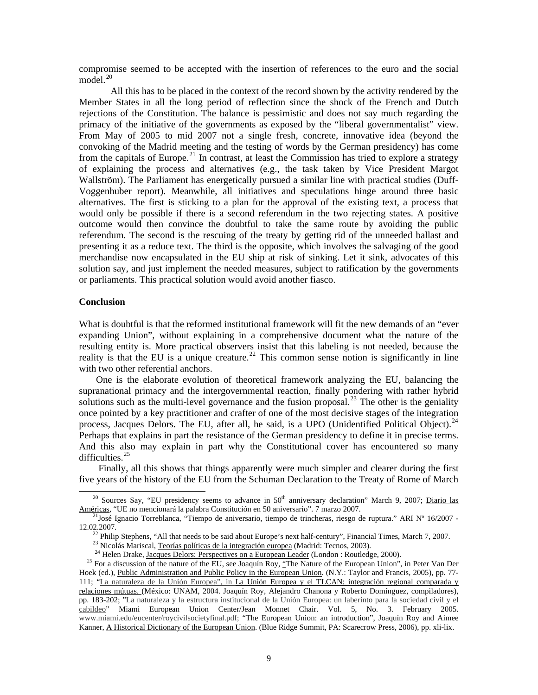compromise seemed to be accepted with the insertion of references to the euro and the social model $^{20}$  $^{20}$  $^{20}$ 

 All this has to be placed in the context of the record shown by the activity rendered by the Member States in all the long period of reflection since the shock of the French and Dutch rejections of the Constitution. The balance is pessimistic and does not say much regarding the primacy of the initiative of the governments as exposed by the "liberal governmentalist" view. From May of 2005 to mid 2007 not a single fresh, concrete, innovative idea (beyond the convoking of the Madrid meeting and the testing of words by the German presidency) has come from the capitals of Europe.<sup>[21](#page-10-1)</sup> In contrast, at least the Commission has tried to explore a strategy of explaining the process and alternatives (e.g., the task taken by Vice President Margot Wallström). The Parliament has energetically pursued a similar line with practical studies (Duff-Voggenhuber report). Meanwhile, all initiatives and speculations hinge around three basic alternatives. The first is sticking to a plan for the approval of the existing text, a process that would only be possible if there is a second referendum in the two rejecting states. A positive outcome would then convince the doubtful to take the same route by avoiding the public referendum. The second is the rescuing of the treaty by getting rid of the unneeded ballast and presenting it as a reduce text. The third is the opposite, which involves the salvaging of the good merchandise now encapsulated in the EU ship at risk of sinking. Let it sink, advocates of this solution say, and just implement the needed measures, subject to ratification by the governments or parliaments. This practical solution would avoid another fiasco.

#### **Conclusion**

 $\overline{\phantom{a}}$ 

What is doubtful is that the reformed institutional framework will fit the new demands of an "ever expanding Union", without explaining in a comprehensive document what the nature of the resulting entity is. More practical observers insist that this labeling is not needed, because the reality is that the EU is a unique creature.<sup>[22](#page-10-2)</sup> This common sense notion is significantly in line with two other referential anchors.

 One is the elaborate evolution of theoretical framework analyzing the EU, balancing the supranational primacy and the intergovernmental reaction, finally pondering with rather hybrid solutions such as the multi-level governance and the fusion proposal.<sup>[23](#page-10-3)</sup> The other is the geniality once pointed by a key practitioner and crafter of one of the most decisive stages of the integration process, Jacques Delors. The EU, after all, he said, is a UPO (Unidentified Political Object).<sup>24</sup> Perhaps that explains in part the resistance of the German presidency to define it in precise terms. And this also may explain in part why the Constitutional cover has encountered so many difficulties.<sup>[25](#page-10-5)</sup>

 Finally, all this shows that things apparently were much simpler and clearer during the first five years of the history of the EU from the Schuman Declaration to the Treaty of Rome of March

<span id="page-10-0"></span><sup>&</sup>lt;sup>20</sup> Sources Say, "EU presidency seems to advance in  $50<sup>th</sup>$  anniversary declaration" March 9, 2007; Diario las Américas, "UE no mencionará la palabra Constitución en 50 aniversario". 7 marzo 2007.

<span id="page-10-2"></span><span id="page-10-1"></span><sup>&</sup>lt;sup>21</sup>José Ignacio Torreblanca, "Tiempo de aniversario, tiempo de trincheras, riesgo de ruptura." ARI Nº 16/2007 -12.02.2007.

<sup>&</sup>lt;sup>22</sup> Philip Stephens, "All that needs to be said about Europe's next half-century", Financial Times, March 7, 2007.

<sup>&</sup>lt;sup>23</sup> Nicolás Mariscal, Teorías políticas de la integración europea (Madrid: Tecnos, 2003).

<sup>&</sup>lt;sup>24</sup> Helen Drake, Jacques Delors: Perspectives on a European Leader (London : Routledge, 2000).

<span id="page-10-5"></span><span id="page-10-4"></span><span id="page-10-3"></span><sup>&</sup>lt;sup>25</sup> For a discussion of the nature of the EU, see Joaquín Roy, "The Nature of the European Union", in Peter Van Der Hoek (ed.), Public Administration and Public Policy in the European Union. (N.Y.: Taylor and Francis, 2005), pp. 77- 111; "La naturaleza de la Unión Europea", in La Unión Europea y el TLCAN: integración regional comparada y relaciones mútuas. (México: UNAM, 2004. Joaquín Roy, Alejandro Chanona y Roberto Domínguez, compiladores), pp. 183-202; "La naturaleza y la estructura institucional de la Unión Europea: un laberinto para la sociedad civil y el cabildeo" Miami European Union Center/Jean Monnet Chair. Vol. 5, No. 3. February 2005. [www.miami.edu/eucenter/roycivilsocietyfinal.pdf;](http://www.miami.edu/eucenter/roycivilsocietyfinal.pdf) "The European Union: an introduction", Joaquín Roy and Aimee Kanner, A Historical Dictionary of the European Union. (Blue Ridge Summit, PA: Scarecrow Press, 2006), pp. xli-lix.